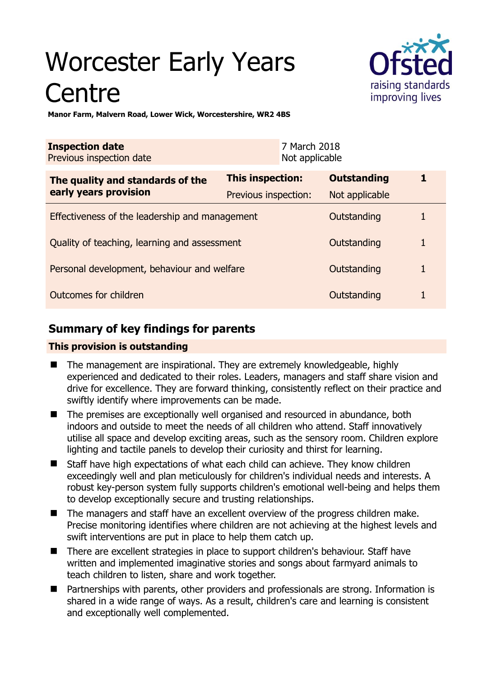# Worcester Early Years **Centre**



**Manor Farm, Malvern Road, Lower Wick, Worcestershire, WR2 4BS** 

| <b>Inspection date</b><br>Previous inspection date |                      | 7 March 2018<br>Not applicable |                    |   |
|----------------------------------------------------|----------------------|--------------------------------|--------------------|---|
| The quality and standards of the                   | This inspection:     |                                | <b>Outstanding</b> | 1 |
| early years provision                              | Previous inspection: |                                | Not applicable     |   |
| Effectiveness of the leadership and management     |                      |                                | Outstanding        |   |
| Quality of teaching, learning and assessment       |                      |                                | Outstanding        | 1 |
| Personal development, behaviour and welfare        |                      |                                | Outstanding        | 1 |
| Outcomes for children                              |                      |                                | Outstanding        |   |

# **Summary of key findings for parents**

## **This provision is outstanding**

- The management are inspirational. They are extremely knowledgeable, highly experienced and dedicated to their roles. Leaders, managers and staff share vision and drive for excellence. They are forward thinking, consistently reflect on their practice and swiftly identify where improvements can be made.
- The premises are exceptionally well organised and resourced in abundance, both indoors and outside to meet the needs of all children who attend. Staff innovatively utilise all space and develop exciting areas, such as the sensory room. Children explore lighting and tactile panels to develop their curiosity and thirst for learning.
- Staff have high expectations of what each child can achieve. They know children exceedingly well and plan meticulously for children's individual needs and interests. A robust key-person system fully supports children's emotional well-being and helps them to develop exceptionally secure and trusting relationships.
- The managers and staff have an excellent overview of the progress children make. Precise monitoring identifies where children are not achieving at the highest levels and swift interventions are put in place to help them catch up.
- There are excellent strategies in place to support children's behaviour. Staff have written and implemented imaginative stories and songs about farmyard animals to teach children to listen, share and work together.
- Partnerships with parents, other providers and professionals are strong. Information is shared in a wide range of ways. As a result, children's care and learning is consistent and exceptionally well complemented.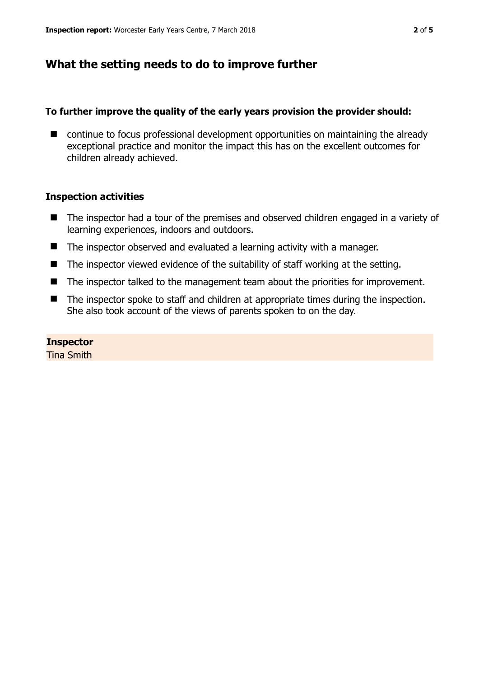# **What the setting needs to do to improve further**

## **To further improve the quality of the early years provision the provider should:**

■ continue to focus professional development opportunities on maintaining the already exceptional practice and monitor the impact this has on the excellent outcomes for children already achieved.

## **Inspection activities**

- The inspector had a tour of the premises and observed children engaged in a variety of learning experiences, indoors and outdoors.
- The inspector observed and evaluated a learning activity with a manager.
- The inspector viewed evidence of the suitability of staff working at the setting.
- The inspector talked to the management team about the priorities for improvement.
- The inspector spoke to staff and children at appropriate times during the inspection. She also took account of the views of parents spoken to on the day.

## **Inspector**

Tina Smith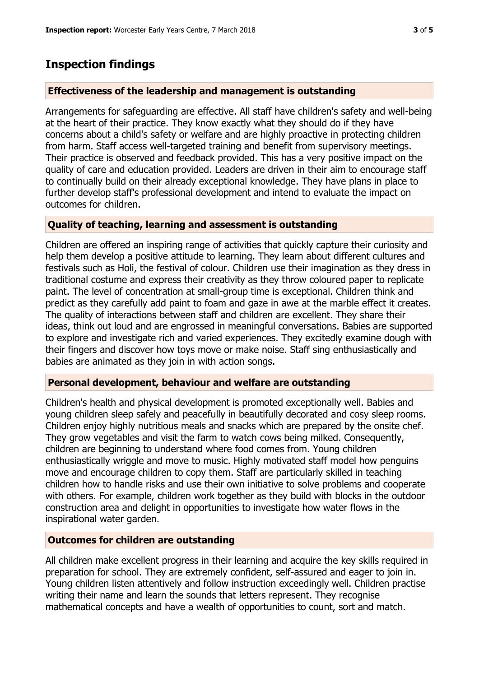## **Inspection findings**

#### **Effectiveness of the leadership and management is outstanding**

Arrangements for safeguarding are effective. All staff have children's safety and well-being at the heart of their practice. They know exactly what they should do if they have concerns about a child's safety or welfare and are highly proactive in protecting children from harm. Staff access well-targeted training and benefit from supervisory meetings. Their practice is observed and feedback provided. This has a very positive impact on the quality of care and education provided. Leaders are driven in their aim to encourage staff to continually build on their already exceptional knowledge. They have plans in place to further develop staff's professional development and intend to evaluate the impact on outcomes for children.

## **Quality of teaching, learning and assessment is outstanding**

Children are offered an inspiring range of activities that quickly capture their curiosity and help them develop a positive attitude to learning. They learn about different cultures and festivals such as Holi, the festival of colour. Children use their imagination as they dress in traditional costume and express their creativity as they throw coloured paper to replicate paint. The level of concentration at small-group time is exceptional. Children think and predict as they carefully add paint to foam and gaze in awe at the marble effect it creates. The quality of interactions between staff and children are excellent. They share their ideas, think out loud and are engrossed in meaningful conversations. Babies are supported to explore and investigate rich and varied experiences. They excitedly examine dough with their fingers and discover how toys move or make noise. Staff sing enthusiastically and babies are animated as they join in with action songs.

## **Personal development, behaviour and welfare are outstanding**

Children's health and physical development is promoted exceptionally well. Babies and young children sleep safely and peacefully in beautifully decorated and cosy sleep rooms. Children enjoy highly nutritious meals and snacks which are prepared by the onsite chef. They grow vegetables and visit the farm to watch cows being milked. Consequently, children are beginning to understand where food comes from. Young children enthusiastically wriggle and move to music. Highly motivated staff model how penguins move and encourage children to copy them. Staff are particularly skilled in teaching children how to handle risks and use their own initiative to solve problems and cooperate with others. For example, children work together as they build with blocks in the outdoor construction area and delight in opportunities to investigate how water flows in the inspirational water garden.

#### **Outcomes for children are outstanding**

All children make excellent progress in their learning and acquire the key skills required in preparation for school. They are extremely confident, self-assured and eager to join in. Young children listen attentively and follow instruction exceedingly well. Children practise writing their name and learn the sounds that letters represent. They recognise mathematical concepts and have a wealth of opportunities to count, sort and match.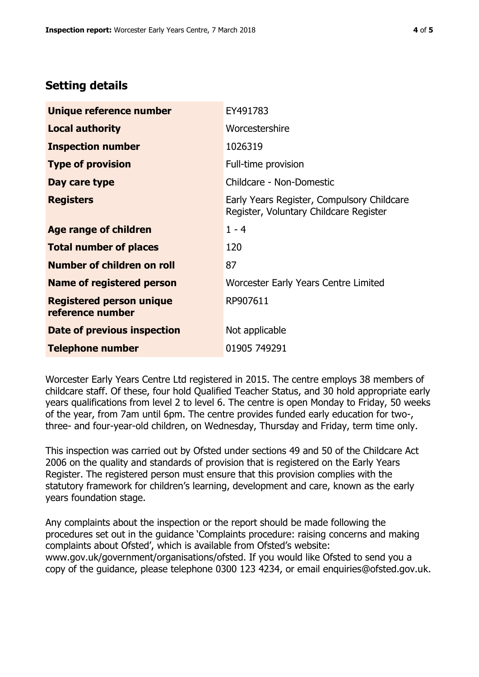# **Setting details**

| Unique reference number                             | EY491783                                                                             |  |
|-----------------------------------------------------|--------------------------------------------------------------------------------------|--|
| <b>Local authority</b>                              | Worcestershire                                                                       |  |
| <b>Inspection number</b>                            | 1026319                                                                              |  |
| <b>Type of provision</b>                            | Full-time provision                                                                  |  |
| Day care type                                       | Childcare - Non-Domestic                                                             |  |
| <b>Registers</b>                                    | Early Years Register, Compulsory Childcare<br>Register, Voluntary Childcare Register |  |
| Age range of children                               | $1 - 4$                                                                              |  |
| <b>Total number of places</b>                       | 120                                                                                  |  |
| Number of children on roll                          | 87                                                                                   |  |
| Name of registered person                           | Worcester Early Years Centre Limited                                                 |  |
| <b>Registered person unique</b><br>reference number | RP907611                                                                             |  |
| Date of previous inspection                         | Not applicable                                                                       |  |
| <b>Telephone number</b>                             | 01905 749291                                                                         |  |

Worcester Early Years Centre Ltd registered in 2015. The centre employs 38 members of childcare staff. Of these, four hold Qualified Teacher Status, and 30 hold appropriate early years qualifications from level 2 to level 6. The centre is open Monday to Friday, 50 weeks of the year, from 7am until 6pm. The centre provides funded early education for two-, three- and four-year-old children, on Wednesday, Thursday and Friday, term time only.

This inspection was carried out by Ofsted under sections 49 and 50 of the Childcare Act 2006 on the quality and standards of provision that is registered on the Early Years Register. The registered person must ensure that this provision complies with the statutory framework for children's learning, development and care, known as the early years foundation stage.

Any complaints about the inspection or the report should be made following the procedures set out in the guidance 'Complaints procedure: raising concerns and making complaints about Ofsted', which is available from Ofsted's website: www.gov.uk/government/organisations/ofsted. If you would like Ofsted to send you a copy of the guidance, please telephone 0300 123 4234, or email enquiries@ofsted.gov.uk.